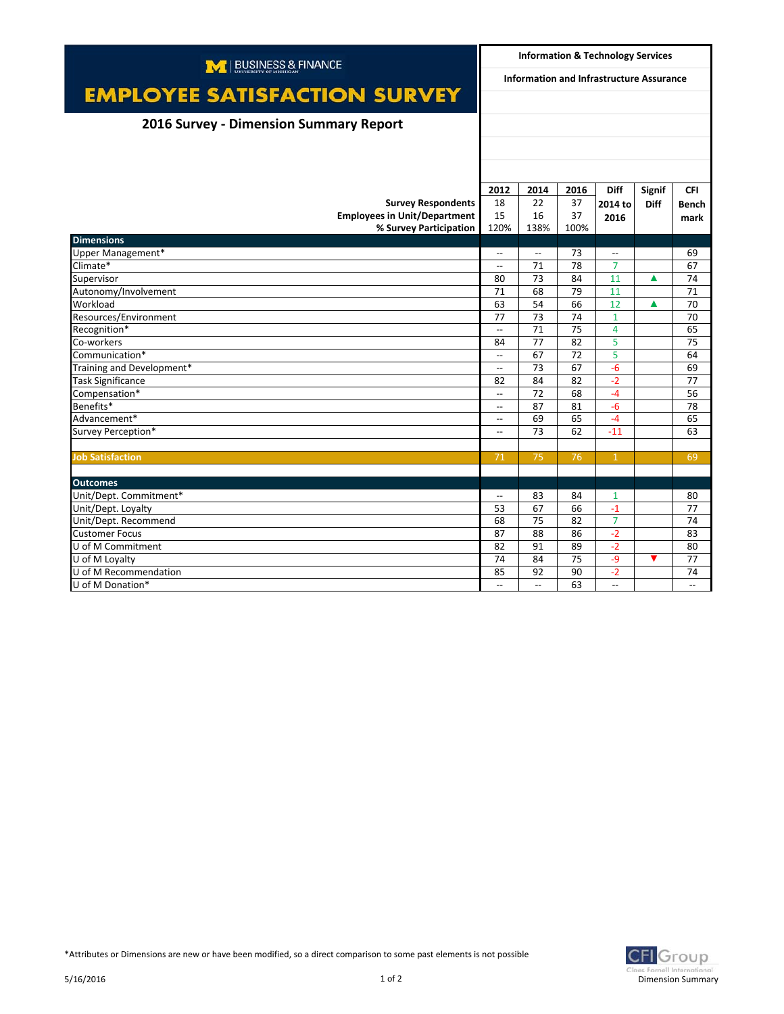| M   BUSINESS & FINANCE                        |                                                      | <b>Information &amp; Technology Services</b> |          |                                  |             |                          |  |
|-----------------------------------------------|------------------------------------------------------|----------------------------------------------|----------|----------------------------------|-------------|--------------------------|--|
|                                               | Information and Infrastructure Assurance             |                                              |          |                                  |             |                          |  |
| <b>EMPLOYEE SATISFACTION SURVEY</b>           |                                                      |                                              |          |                                  |             |                          |  |
| <b>2016 Survey - Dimension Summary Report</b> |                                                      |                                              |          |                                  |             |                          |  |
|                                               |                                                      |                                              |          |                                  |             |                          |  |
|                                               |                                                      |                                              |          |                                  |             |                          |  |
|                                               |                                                      |                                              |          |                                  |             |                          |  |
|                                               | 2012                                                 | 2014                                         | 2016     | <b>Diff</b>                      | Signif      | <b>CFI</b>               |  |
| <b>Survey Respondents</b>                     | 18                                                   | 22                                           | 37       | 2014 to                          | <b>Diff</b> | <b>Bench</b>             |  |
| <b>Employees in Unit/Department</b>           | 15                                                   | 16                                           | 37       | 2016                             |             | mark                     |  |
| % Survey Participation                        | 120%                                                 | 138%                                         | 100%     |                                  |             |                          |  |
| <b>Dimensions</b>                             |                                                      |                                              |          |                                  |             |                          |  |
| Upper Management*<br>Climate*                 | $\overline{\phantom{a}}$                             | $\overline{\phantom{a}}$                     | 73<br>78 | $\overline{a}$<br>$\overline{7}$ |             | 69<br>67                 |  |
|                                               | $-$                                                  | 71                                           |          | 11                               |             |                          |  |
| Supervisor                                    | 80<br>71                                             | 73<br>68                                     | 84<br>79 | 11                               | Δ           | 74<br>71                 |  |
| Autonomy/Involvement<br>Workload              | 63                                                   | 54                                           | 66       | 12                               |             |                          |  |
|                                               | 77                                                   |                                              | 74       |                                  | Δ           | 70                       |  |
| Resources/Environment                         |                                                      | 73<br>71                                     | 75       | $\mathbf{1}$<br>4                |             | 70<br>65                 |  |
| Recognition*                                  | $\overline{\phantom{a}}$                             | 77                                           | 82       | 5                                |             | 75                       |  |
| Co-workers<br>Communication*                  | 84<br>$\overline{\phantom{a}}$                       | 67                                           | 72       | 5                                |             | 64                       |  |
| Training and Development*                     | $\overline{\phantom{a}}$                             | 73                                           | 67       | $-6$                             |             | 69                       |  |
| <b>Task Significance</b>                      | 82                                                   | 84                                           | 82       | $-2$                             |             | 77                       |  |
| Compensation*                                 | $\overline{\phantom{a}}$                             | 72                                           | 68       | $-4$                             |             | 56                       |  |
| Benefits*                                     |                                                      | 87                                           | 81       | $-6$                             |             | 78                       |  |
| Advancement*                                  | $\overline{\phantom{a}}$<br>$\overline{\phantom{a}}$ | 69                                           | 65       | $-4$                             |             | 65                       |  |
|                                               | $\overline{a}$                                       | 73                                           | 62       | $-11$                            |             | 63                       |  |
| Survey Perception*                            |                                                      |                                              |          |                                  |             |                          |  |
| <b>Job Satisfaction</b>                       | 71                                                   | 75                                           | 76       | $\mathbf{1}$                     |             | 69                       |  |
|                                               |                                                      |                                              |          |                                  |             |                          |  |
| <b>Outcomes</b>                               |                                                      |                                              |          |                                  |             |                          |  |
| Unit/Dept. Commitment*                        | $\overline{\phantom{0}}$                             | 83                                           | 84       | 1                                |             | 80                       |  |
| Unit/Dept. Loyalty                            | 53                                                   | 67                                           | 66       | $-1$                             |             | 77                       |  |
| Unit/Dept. Recommend                          | 68                                                   | 75                                           | 82       | $\overline{7}$                   |             | 74                       |  |
| <b>Customer Focus</b>                         | 87                                                   | 88                                           | 86       | $-2$                             |             | 83                       |  |
| U of M Commitment                             | 82                                                   | 91                                           | 89       | $-2$                             |             | 80                       |  |
| U of M Loyalty                                | 74                                                   | 84                                           | 75       | $-9$                             | ▼           | 77                       |  |
| U of M Recommendation                         | 85                                                   | 92                                           | 90       | $-2$                             |             | 74                       |  |
| U of M Donation*                              | $\overline{\phantom{a}}$                             | $\overline{\phantom{a}}$                     | 63       | $\overline{\phantom{a}}$         |             | $\overline{\phantom{a}}$ |  |